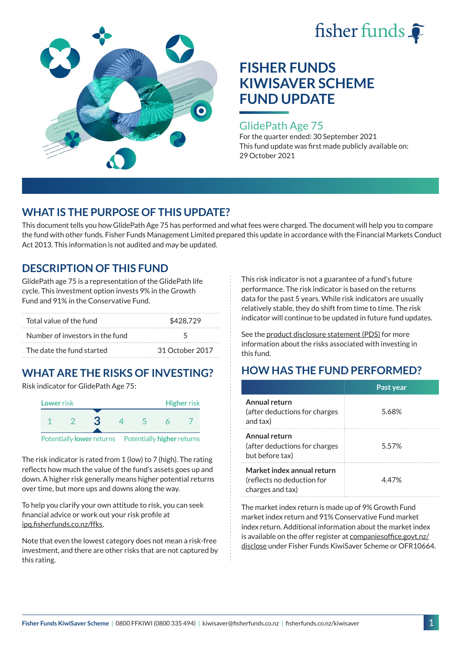



### GlidePath Age 75

For the quarter ended: 30 September 2021 This fund update was first made publicly available on: 29 October 2021

## **WHAT IS THE PURPOSE OF THIS UPDATE?**

This document tells you how GlidePath Age 75 has performed and what fees were charged. The document will help you to compare the fund with other funds. Fisher Funds Management Limited prepared this update in accordance with the Financial Markets Conduct Act 2013. This information is not audited and may be updated.

## **DESCRIPTION OF THIS FUND**

GlidePath age 75 is a representation of the GlidePath life cycle. This investment option invests 9% in the Growth Fund and 91% in the Conservative Fund.

| Total value of the fund         | \$428.729       |  |
|---------------------------------|-----------------|--|
| Number of investors in the fund | $\sqrt{2}$      |  |
| The date the fund started       | 31 October 2017 |  |

# **WHAT ARE THE RISKS OF INVESTING?**

Risk indicator for GlidePath Age 75:



Potentially **lower** returns Potentially **higher** returns

The risk indicator is rated from 1 (low) to 7 (high). The rating reflects how much the value of the fund's assets goes up and down. A higher risk generally means higher potential returns over time, but more ups and downs along the way.

To help you clarify your own attitude to risk, you can seek financial advice or work out your risk profile at [ipq.fisherfunds.co.nz/ffks](https://ipq.fisherfunds.co.nz/ffks).

Note that even the lowest category does not mean a risk-free investment, and there are other risks that are not captured by this rating.

This risk indicator is not a guarantee of a fund's future performance. The risk indicator is based on the returns data for the past 5 years. While risk indicators are usually relatively stable, they do shift from time to time. The risk indicator will continue to be updated in future fund updates.

See the [product disclosure statement \(PDS\)](https://fisherfunds.co.nz/assets/PDS/Fisher-Funds-KiwiSaver-Scheme-PDS.pdf) for more information about the risks associated with investing in this fund.

## **HOW HAS THE FUND PERFORMED?**

|                                                                              | Past year |
|------------------------------------------------------------------------------|-----------|
| Annual return<br>(after deductions for charges)<br>and tax)                  | 5.68%     |
| Annual return<br>(after deductions for charges<br>but before tax)            | 5.57%     |
| Market index annual return<br>(reflects no deduction for<br>charges and tax) | 447%      |

The market index return is made up of 9% Growth Fund market index return and 91% Conservative Fund market index return. Additional information about the market index is available on the offer register at [companiesoffice.govt.nz/](http://companiesoffice.govt.nz/disclose) [disclose](http://companiesoffice.govt.nz/disclose) under Fisher Funds KiwiSaver Scheme or OFR10664.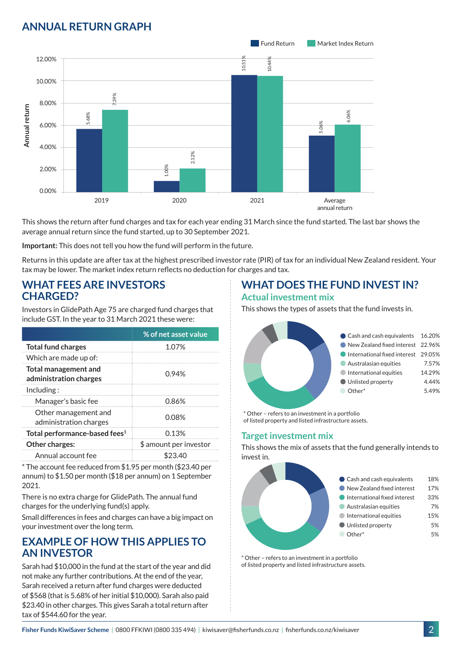## **ANNUAL RETURN GRAPH**



This shows the return after fund charges and tax for each year ending 31 March since the fund started. The last bar shows the average annual return since the fund started, up to 30 September 2021.

**Important:** This does not tell you how the fund will perform in the future.

Returns in this update are after tax at the highest prescribed investor rate (PIR) of tax for an individual New Zealand resident. Your tax may be lower. The market index return reflects no deduction for charges and tax.

### **WHAT FEES ARE INVESTORS CHARGED?**

Investors in GlidePath Age 75 are charged fund charges that include GST. In the year to 31 March 2021 these were:

|                                                       | % of net asset value   |  |
|-------------------------------------------------------|------------------------|--|
| <b>Total fund charges</b>                             | 1.07%                  |  |
| Which are made up of:                                 |                        |  |
| <b>Total management and</b><br>administration charges | 0.94%                  |  |
| Inding:                                               |                        |  |
| Manager's basic fee                                   | 0.86%                  |  |
| Other management and<br>administration charges        | 0.08%                  |  |
| Total performance-based fees <sup>1</sup>             | 0.13%                  |  |
| Other charges:                                        | \$ amount per investor |  |
| Annual account fee                                    | 23.40                  |  |

\* The account fee reduced from \$1.95 per month (\$23.40 per annum) to \$1.50 per month (\$18 per annum) on 1 September 2021.

There is no extra charge for GlidePath. The annual fund charges for the underlying fund(s) apply.

Small differences in fees and charges can have a big impact on your investment over the long term.

### **EXAMPLE OF HOW THIS APPLIES TO AN INVESTOR**

Sarah had \$10,000 in the fund at the start of the year and did not make any further contributions. At the end of the year, Sarah received a return after fund charges were deducted of \$568 (that is 5.68% of her initial \$10,000). Sarah also paid \$23.40 in other charges. This gives Sarah a total return after tax of \$544.60 for the year.

# **WHAT DOES THE FUND INVEST IN?**

#### **Actual investment mix**

This shows the types of assets that the fund invests in.



\* Other – refers to an investment in a portfolio of listed property and listed infrastructure assets.

### **Target investment mix**

This shows the mix of assets that the fund generally intends to invest in.



\* Other – refers to an investment in a portfolio of listed property and listed infrastructure assets.